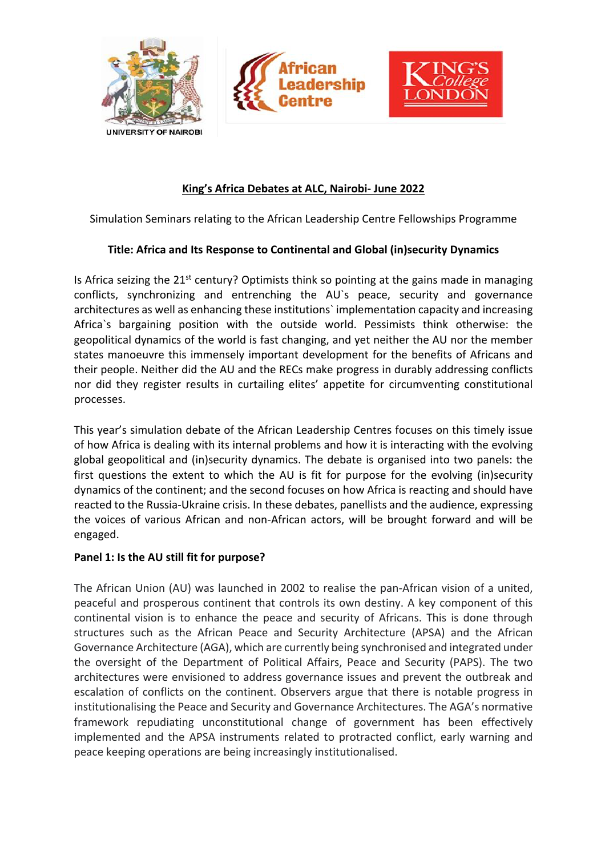



# **King's Africa Debates at ALC, Nairobi- June 2022**

rshin

Simulation Seminars relating to the African Leadership Centre Fellowships Programme

## **Title: Africa and Its Response to Continental and Global (in)security Dynamics**

Is Africa seizing the  $21^{st}$  century? Optimists think so pointing at the gains made in managing conflicts, synchronizing and entrenching the AU`s peace, security and governance architectures as well as enhancing these institutions` implementation capacity and increasing Africa`s bargaining position with the outside world. Pessimists think otherwise: the geopolitical dynamics of the world is fast changing, and yet neither the AU nor the member states manoeuvre this immensely important development for the benefits of Africans and their people. Neither did the AU and the RECs make progress in durably addressing conflicts nor did they register results in curtailing elites' appetite for circumventing constitutional processes.

This year's simulation debate of the African Leadership Centres focuses on this timely issue of how Africa is dealing with its internal problems and how it is interacting with the evolving global geopolitical and (in)security dynamics. The debate is organised into two panels: the first questions the extent to which the AU is fit for purpose for the evolving (in)security dynamics of the continent; and the second focuses on how Africa is reacting and should have reacted to the Russia-Ukraine crisis. In these debates, panellists and the audience, expressing the voices of various African and non-African actors, will be brought forward and will be engaged.

## **Panel 1: Is the AU still fit for purpose?**

The African Union (AU) was launched in 2002 to realise the pan-African vision of a united, peaceful and prosperous continent that controls its own destiny. A key component of this continental vision is to enhance the peace and security of Africans. This is done through structures such as the African Peace and Security Architecture (APSA) and the African Governance Architecture (AGA), which are currently being synchronised and integrated under the oversight of the Department of Political Affairs, Peace and Security (PAPS). The two architectures were envisioned to address governance issues and prevent the outbreak and escalation of conflicts on the continent. Observers argue that there is notable progress in institutionalising the Peace and Security and Governance Architectures. The AGA's normative framework repudiating unconstitutional change of government has been effectively implemented and the APSA instruments related to protracted conflict, early warning and peace keeping operations are being increasingly institutionalised.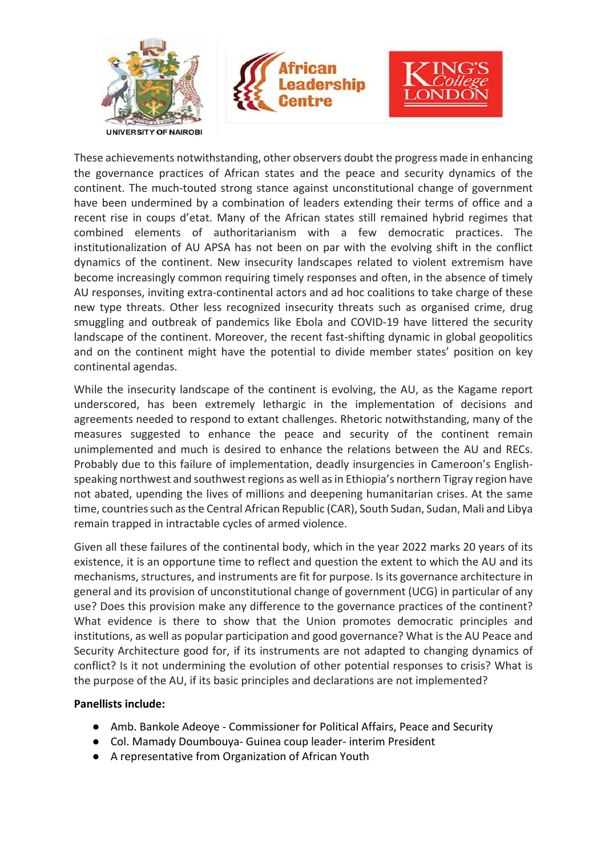





These achievements notwithstanding, other observers doubt the progress made in enhancing the governance practices of African states and the peace and security dynamics of the continent. The much-touted strong stance against unconstitutional change of government have been undermined by a combination of leaders extending their terms of office and a recent rise in coups d'etat. Many of the African states still remained hybrid regimes that combined elements of authoritarianism with a few democratic practices. The institutionalization of AU APSA has not been on par with the evolving shift in the conflict dynamics of the continent. New insecurity landscapes related to violent extremism have become increasingly common requiring timely responses and often, in the absence of timely AU responses, inviting extra-continental actors and ad hoc coalitions to take charge of these new type threats. Other less recognized insecurity threats such as organised crime, drug smuggling and outbreak of pandemics like Ebola and COVID-19 have littered the security landscape of the continent. Moreover, the recent fast-shifting dynamic in global geopolitics and on the continent might have the potential to divide member states' position on key continental agendas.

While the insecurity landscape of the continent is evolving, the AU, as the Kagame report underscored, has been extremely lethargic in the implementation of decisions and agreements needed to respond to extant challenges. Rhetoric notwithstanding, many of the measures suggested to enhance the peace and security of the continent remain unimplemented and much is desired to enhance the relations between the AU and RECs. Probably due to this failure of implementation, deadly insurgencies in Cameroon's Englishspeaking northwest and southwest regions as well as in Ethiopia's northern Tigray region have not abated, upending the lives of millions and deepening humanitarian crises. At the same time, countries such as the Central African Republic (CAR), South Sudan, Sudan, Mali and Libya remain trapped in intractable cycles of armed violence.

Given all these failures of the continental body, which in the year 2022 marks 20 years of its existence, it is an opportune time to reflect and question the extent to which the AU and its mechanisms, structures, and instruments are fit for purpose. Is its governance architecture in general and its provision of unconstitutional change of government (UCG) in particular of any use? Does this provision make any difference to the governance practices of the continent? What evidence is there to show that the Union promotes democratic principles and institutions, as well as popular participation and good governance? What is the AU Peace and Security Architecture good for, if its instruments are not adapted to changing dynamics of conflict? Is it not undermining the evolution of other potential responses to crisis? What is the purpose of the AU, if its basic principles and declarations are not implemented?

#### **Panellists include:**

- Amb. Bankole Adeoye Commissioner for Political Affairs, Peace and Security
- Col. Mamady Doumbouya- Guinea coup leader- interim President
- A representative from Organization of African Youth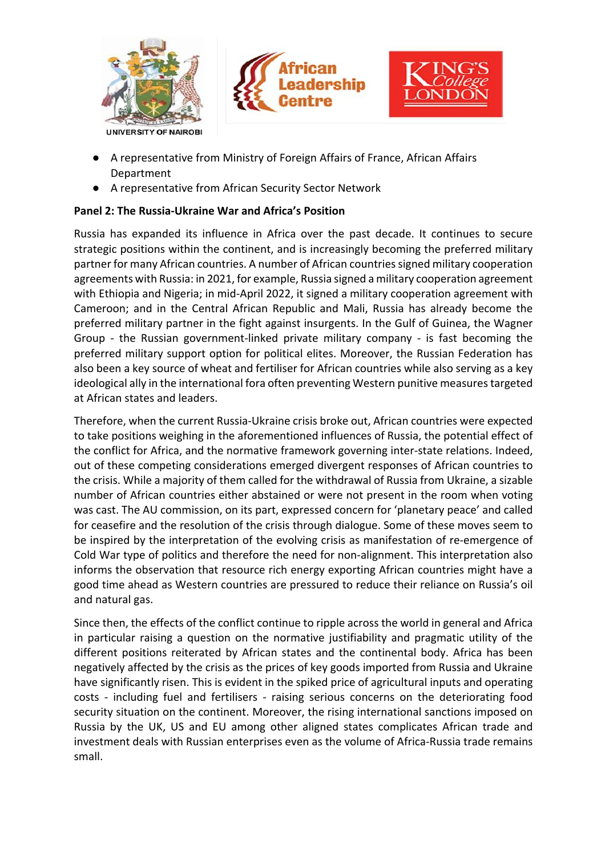





- A representative from Ministry of Foreign Affairs of France, African Affairs Department
- A representative from African Security Sector Network

# **Panel 2: The Russia-Ukraine War and Africa's Position**

Russia has expanded its influence in Africa over the past decade. It continues to secure strategic positions within the continent, and is increasingly becoming the preferred military partner for many African countries. A number of African countries signed military cooperation agreements with Russia: in 2021, for example, Russia signed a military cooperation agreement with Ethiopia and Nigeria; in mid-April 2022, it signed a military cooperation agreement with Cameroon; and in the Central African Republic and Mali, Russia has already become the preferred military partner in the fight against insurgents. In the Gulf of Guinea, the Wagner Group - the Russian government-linked private military company - is fast becoming the preferred military support option for political elites. Moreover, the Russian Federation has also been a key source of wheat and fertiliser for African countries while also serving as a key ideological ally in the international fora often preventing Western punitive measures targeted at African states and leaders.

Therefore, when the current Russia-Ukraine crisis broke out, African countries were expected to take positions weighing in the aforementioned influences of Russia, the potential effect of the conflict for Africa, and the normative framework governing inter-state relations. Indeed, out of these competing considerations emerged divergent responses of African countries to the crisis. While a majority of them called for the withdrawal of Russia from Ukraine, a sizable number of African countries either abstained or were not present in the room when voting was cast. The AU commission, on its part, expressed concern for 'planetary peace' and called for ceasefire and the resolution of the crisis through dialogue. Some of these moves seem to be inspired by the interpretation of the evolving crisis as manifestation of re-emergence of Cold War type of politics and therefore the need for non-alignment. This interpretation also informs the observation that resource rich energy exporting African countries might have a good time ahead as Western countries are pressured to reduce their reliance on Russia's oil and natural gas.

Since then, the effects of the conflict continue to ripple across the world in general and Africa in particular raising a question on the normative justifiability and pragmatic utility of the different positions reiterated by African states and the continental body. Africa has been negatively affected by the crisis as the prices of key goods imported from Russia and Ukraine have significantly risen. This is evident in the spiked price of agricultural inputs and operating costs - including fuel and fertilisers - raising serious concerns on the deteriorating food security situation on the continent. Moreover, the rising international sanctions imposed on Russia by the UK, US and EU among other aligned states complicates African trade and investment deals with Russian enterprises even as the volume of Africa-Russia trade remains small.